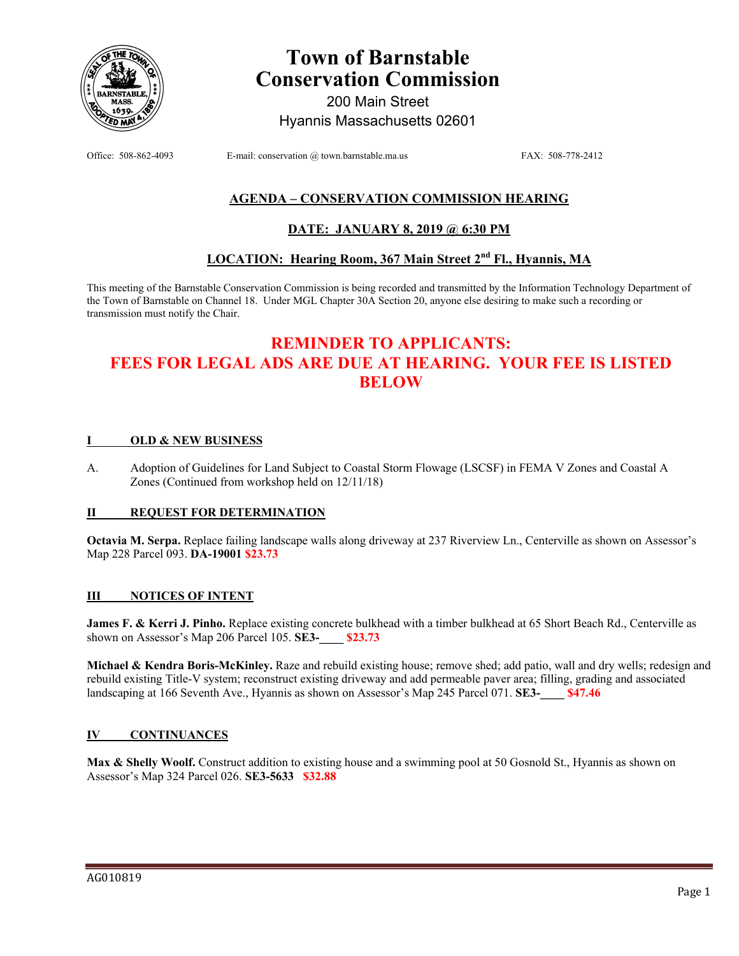

# **Town of Barnstable Conservation Commission**

200 Main Street Hyannis Massachusetts 02601

Office: 508-862-4093 E-mail: conservation @ town.barnstable.ma.us FAX: 508-778-2412

### **AGENDA – CONSERVATION COMMISSION HEARING**

### **DATE: JANUARY 8, 2019 @ 6:30 PM**

### **LOCATION: Hearing Room, 367 Main Street 2nd Fl., Hyannis, MA**

This meeting of the Barnstable Conservation Commission is being recorded and transmitted by the Information Technology Department of the Town of Barnstable on Channel 18. Under MGL Chapter 30A Section 20, anyone else desiring to make such a recording or transmission must notify the Chair.

## **REMINDER TO APPLICANTS: FEES FOR LEGAL ADS ARE DUE AT HEARING. YOUR FEE IS LISTED BELOW**

#### **I OLD & NEW BUSINESS**

A. Adoption of Guidelines for Land Subject to Coastal Storm Flowage (LSCSF) in FEMA V Zones and Coastal A Zones (Continued from workshop held on 12/11/18)

#### **II REQUEST FOR DETERMINATION**

**Octavia M. Serpa.** Replace failing landscape walls along driveway at 237 Riverview Ln., Centerville as shown on Assessor's Map 228 Parcel 093. **DA-19001 \$23.73** 

#### **III NOTICES OF INTENT**

**James F. & Kerri J. Pinho.** Replace existing concrete bulkhead with a timber bulkhead at 65 Short Beach Rd., Centerville as shown on Assessor's Map 206 Parcel 105. **SE3-\_\_\_\_ \$23.73**

**Michael & Kendra Boris-McKinley.** Raze and rebuild existing house; remove shed; add patio, wall and dry wells; redesign and rebuild existing Title-V system; reconstruct existing driveway and add permeable paver area; filling, grading and associated landscaping at 166 Seventh Ave., Hyannis as shown on Assessor's Map 245 Parcel 071. **SE3-\_\_\_\_ \$47.46**

#### **IV CONTINUANCES**

Max & Shelly Woolf. Construct addition to existing house and a swimming pool at 50 Gosnold St., Hyannis as shown on Assessor's Map 324 Parcel 026. **SE3-5633 \$32.88**